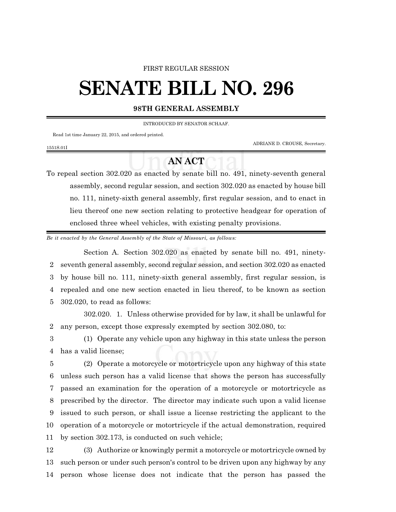## FIRST REGULAR SESSION

## **SENATE BILL NO. 296**

## **98TH GENERAL ASSEMBLY**

INTRODUCED BY SENATOR SCHAAF.

Read 1st time January 22, 2015, and ordered printed.

1551S.01I

ADRIANE D. CROUSE, Secretary.

## **AN ACT**

To repeal section 302.020 as enacted by senate bill no. 491, ninety-seventh general assembly, second regular session, and section 302.020 as enacted by house bill no. 111, ninety-sixth general assembly, first regular session, and to enact in lieu thereof one new section relating to protective headgear for operation of enclosed three wheel vehicles, with existing penalty provisions.

*Be it enacted by the General Assembly of the State of Missouri, as follows:*

Section A. Section 302.020 as enacted by senate bill no. 491, ninety- seventh general assembly, second regular session, and section 302.020 as enacted by house bill no. 111, ninety-sixth general assembly, first regular session, is repealed and one new section enacted in lieu thereof, to be known as section 302.020, to read as follows:

302.020. 1. Unless otherwise provided for by law, it shall be unlawful for 2 any person, except those expressly exempted by section 302.080, to:

3 (1) Operate any vehicle upon any highway in this state unless the person 4 has a valid license;

 (2) Operate a motorcycle or motortricycle upon any highway of this state unless such person has a valid license that shows the person has successfully passed an examination for the operation of a motorcycle or motortricycle as prescribed by the director. The director may indicate such upon a valid license issued to such person, or shall issue a license restricting the applicant to the operation of a motorcycle or motortricycle if the actual demonstration, required by section 302.173, is conducted on such vehicle;

12 (3) Authorize or knowingly permit a motorcycle or motortricycle owned by 13 such person or under such person's control to be driven upon any highway by any 14 person whose license does not indicate that the person has passed the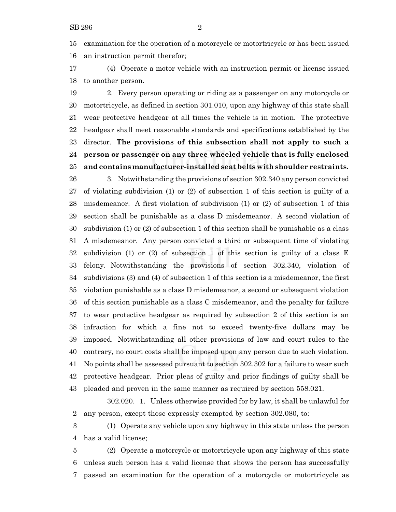examination for the operation of a motorcycle or motortricycle or has been issued an instruction permit therefor;

 (4) Operate a motor vehicle with an instruction permit or license issued to another person.

 2. Every person operating or riding as a passenger on any motorcycle or motortricycle, as defined in section 301.010, upon any highway of this state shall wear protective headgear at all times the vehicle is in motion. The protective headgear shall meet reasonable standards and specifications established by the director. **The provisions of this subsection shall not apply to such a person or passenger on any three wheeled vehicle that is fully enclosed and contains manufacturer-installed seat belts with shoulder restraints.** 3. Notwithstanding the provisions of section 302.340 any person convicted of violating subdivision (1) or (2) of subsection 1 of this section is guilty of a misdemeanor. A first violation of subdivision (1) or (2) of subsection 1 of this section shall be punishable as a class D misdemeanor. A second violation of subdivision (1) or (2) of subsection 1 of this section shall be punishable as a class A misdemeanor. Any person convicted a third or subsequent time of violating subdivision (1) or (2) of subsection 1 of this section is guilty of a class E felony. Notwithstanding the provisions of section 302.340, violation of subdivisions (3) and (4) of subsection 1 of this section is a misdemeanor, the first violation punishable as a class D misdemeanor, a second or subsequent violation of this section punishable as a class C misdemeanor, and the penalty for failure to wear protective headgear as required by subsection 2 of this section is an infraction for which a fine not to exceed twenty-five dollars may be imposed. Notwithstanding all other provisions of law and court rules to the contrary, no court costs shall be imposed upon any person due to such violation. No points shall be assessed pursuant to section 302.302 for a failure to wear such protective headgear. Prior pleas of guilty and prior findings of guilty shall be pleaded and proven in the same manner as required by section 558.021.

302.020. 1. Unless otherwise provided for by law, it shall be unlawful for any person, except those expressly exempted by section 302.080, to:

 (1) Operate any vehicle upon any highway in this state unless the person has a valid license;

 (2) Operate a motorcycle or motortricycle upon any highway of this state unless such person has a valid license that shows the person has successfully passed an examination for the operation of a motorcycle or motortricycle as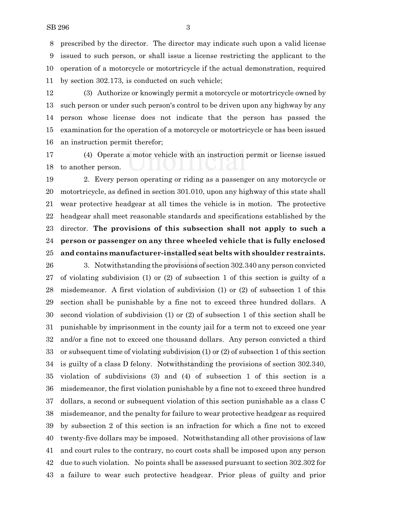prescribed by the director. The director may indicate such upon a valid license issued to such person, or shall issue a license restricting the applicant to the operation of a motorcycle or motortricycle if the actual demonstration, required by section 302.173, is conducted on such vehicle;

 (3) Authorize or knowingly permit a motorcycle or motortricycle owned by such person or under such person's control to be driven upon any highway by any person whose license does not indicate that the person has passed the examination for the operation of a motorcycle or motortricycle or has been issued an instruction permit therefor;

 (4) Operate a motor vehicle with an instruction permit or license issued to another person.

 2. Every person operating or riding as a passenger on any motorcycle or motortricycle, as defined in section 301.010, upon any highway of this state shall wear protective headgear at all times the vehicle is in motion. The protective headgear shall meet reasonable standards and specifications established by the director. **The provisions of this subsection shall not apply to such a person or passenger on any three wheeled vehicle that is fully enclosed and contains manufacturer-installed seat belts with shoulder restraints.**

 3. Notwithstanding the provisions of section 302.340 any person convicted of violating subdivision (1) or (2) of subsection 1 of this section is guilty of a misdemeanor. A first violation of subdivision (1) or (2) of subsection 1 of this section shall be punishable by a fine not to exceed three hundred dollars. A second violation of subdivision (1) or (2) of subsection 1 of this section shall be punishable by imprisonment in the county jail for a term not to exceed one year and/or a fine not to exceed one thousand dollars. Any person convicted a third or subsequent time of violating subdivision (1) or (2) of subsection 1 of this section is guilty of a class D felony. Notwithstanding the provisions of section 302.340, violation of subdivisions (3) and (4) of subsection 1 of this section is a misdemeanor, the first violation punishable by a fine not to exceed three hundred dollars, a second or subsequent violation of this section punishable as a class C misdemeanor, and the penalty for failure to wear protective headgear as required by subsection 2 of this section is an infraction for which a fine not to exceed twenty-five dollars may be imposed. Notwithstanding all other provisions of law and court rules to the contrary, no court costs shall be imposed upon any person due to such violation. No points shall be assessed pursuant to section 302.302 for a failure to wear such protective headgear. Prior pleas of guilty and prior